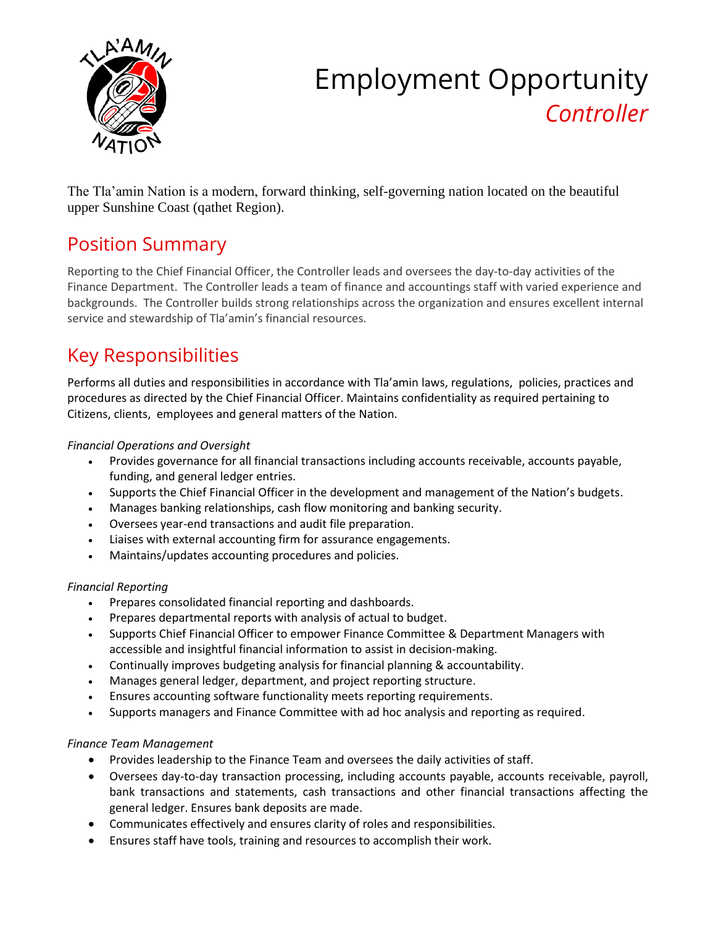

# Employment Opportunity *Controller*

The Tla'amin Nation is a modern, forward thinking, self-governing nation located on the beautiful upper Sunshine Coast (qathet Region).

# Position Summary

Reporting to the Chief Financial Officer, the Controller leads and oversees the day-to-day activities of the Finance Department. The Controller leads a team of finance and accountings staff with varied experience and backgrounds. The Controller builds strong relationships across the organization and ensures excellent internal service and stewardship of Tla'amin's financial resources.

# Key Responsibilities

Performs all duties and responsibilities in accordance with Tla'amin laws, regulations, policies, practices and procedures as directed by the Chief Financial Officer. Maintains confidentiality as required pertaining to Citizens, clients, employees and general matters of the Nation.

#### *Financial Operations and Oversight*

- Provides governance for all financial transactions including accounts receivable, accounts payable, funding, and general ledger entries.
- Supports the Chief Financial Officer in the development and management of the Nation's budgets.
- Manages banking relationships, cash flow monitoring and banking security.
- Oversees year-end transactions and audit file preparation.
- Liaises with external accounting firm for assurance engagements.
- Maintains/updates accounting procedures and policies.

#### *Financial Reporting*

- Prepares consolidated financial reporting and dashboards.
- Prepares departmental reports with analysis of actual to budget.
- Supports Chief Financial Officer to empower Finance Committee & Department Managers with accessible and insightful financial information to assist in decision-making.
- Continually improves budgeting analysis for financial planning & accountability.
- Manages general ledger, department, and project reporting structure.
- Ensures accounting software functionality meets reporting requirements.
- Supports managers and Finance Committee with ad hoc analysis and reporting as required.

#### *Finance Team Management*

- Provides leadership to the Finance Team and oversees the daily activities of staff.
- Oversees day-to-day transaction processing, including accounts payable, accounts receivable, payroll, bank transactions and statements, cash transactions and other financial transactions affecting the general ledger. Ensures bank deposits are made.
- Communicates effectively and ensures clarity of roles and responsibilities.
- Ensures staff have tools, training and resources to accomplish their work.